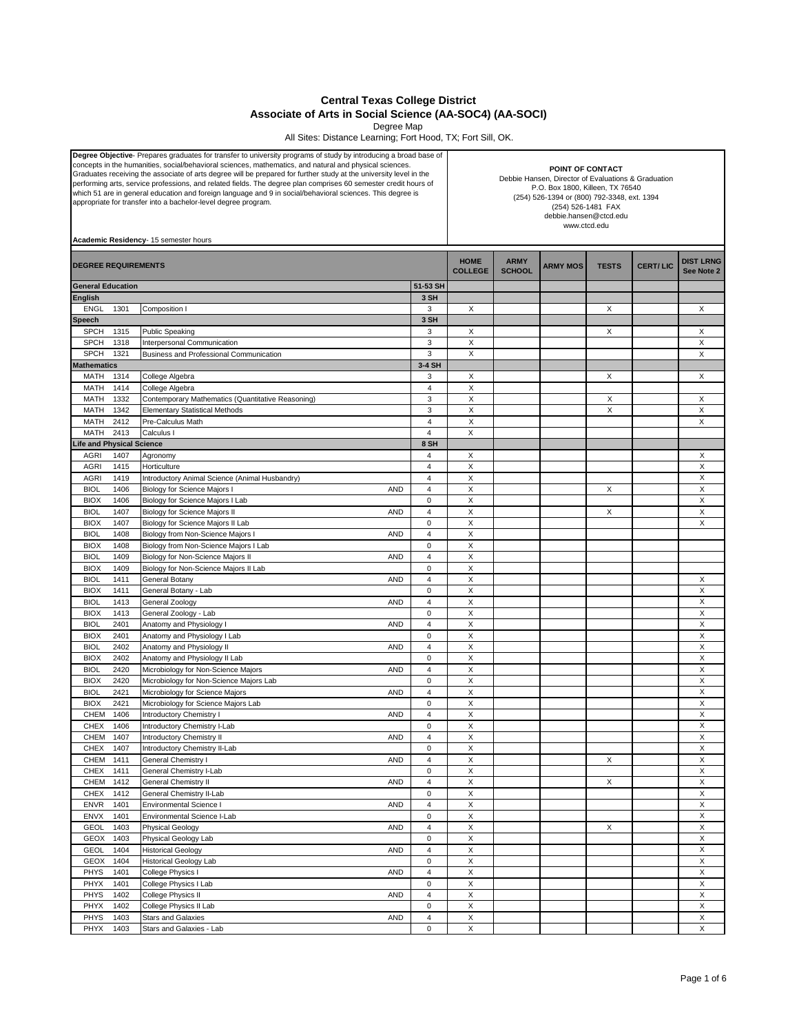## **Central Texas College District Associate of Arts in Social Science (AA-SOC4) (AA-SOCI)**

Degree Map All Sites: Distance Learning; Fort Hood, TX; Fort Sill, OK.

| Degree Objective- Prepares graduates for transfer to university programs of study by introducing a broad base of<br>concepts in the humanities, social/behavioral sciences, mathematics, and natural and physical sciences.<br>Graduates receiving the associate of arts degree will be prepared for further study at the university level in the<br>performing arts, service professions, and related fields. The degree plan comprises 60 semester credit hours of<br>which 51 are in general education and foreign language and 9 in social/behavioral sciences. This degree is<br>appropriate for transfer into a bachelor-level degree program.<br>Academic Residency- 15 semester hours |              |                                                                        |                         |                               | POINT OF CONTACT<br>Debbie Hansen, Director of Evaluations & Graduation<br>P.O. Box 1800, Killeen, TX 76540<br>(254) 526-1394 or (800) 792-3348, ext. 1394<br>(254) 526-1481 FAX<br>debbie.hansen@ctcd.edu<br>www.ctcd.edu |                 |              |                 |                                |  |
|-----------------------------------------------------------------------------------------------------------------------------------------------------------------------------------------------------------------------------------------------------------------------------------------------------------------------------------------------------------------------------------------------------------------------------------------------------------------------------------------------------------------------------------------------------------------------------------------------------------------------------------------------------------------------------------------------|--------------|------------------------------------------------------------------------|-------------------------|-------------------------------|----------------------------------------------------------------------------------------------------------------------------------------------------------------------------------------------------------------------------|-----------------|--------------|-----------------|--------------------------------|--|
| <b>DEGREE REQUIREMENTS</b>                                                                                                                                                                                                                                                                                                                                                                                                                                                                                                                                                                                                                                                                    |              |                                                                        |                         | <b>HOME</b><br><b>COLLEGE</b> | <b>ARMY</b><br><b>SCHOOL</b>                                                                                                                                                                                               | <b>ARMY MOS</b> | <b>TESTS</b> | <b>CERT/LIC</b> | <b>DIST LRNG</b><br>See Note 2 |  |
| <b>General Education</b>                                                                                                                                                                                                                                                                                                                                                                                                                                                                                                                                                                                                                                                                      |              |                                                                        | 51-53 SH                |                               |                                                                                                                                                                                                                            |                 |              |                 |                                |  |
| <b>English</b>                                                                                                                                                                                                                                                                                                                                                                                                                                                                                                                                                                                                                                                                                |              |                                                                        | 3 SH                    |                               |                                                                                                                                                                                                                            |                 |              |                 |                                |  |
| <b>ENGL</b>                                                                                                                                                                                                                                                                                                                                                                                                                                                                                                                                                                                                                                                                                   | 1301         | Composition I                                                          | 3                       | X                             |                                                                                                                                                                                                                            |                 | X            |                 | X                              |  |
| Speech                                                                                                                                                                                                                                                                                                                                                                                                                                                                                                                                                                                                                                                                                        |              |                                                                        | 3 SH                    |                               |                                                                                                                                                                                                                            |                 |              |                 |                                |  |
| <b>SPCH</b><br><b>SPCH</b>                                                                                                                                                                                                                                                                                                                                                                                                                                                                                                                                                                                                                                                                    | 1315<br>1318 | <b>Public Speaking</b>                                                 | 3<br>3                  | Х<br>X                        |                                                                                                                                                                                                                            |                 | X            |                 | Χ<br>X                         |  |
| <b>SPCH</b>                                                                                                                                                                                                                                                                                                                                                                                                                                                                                                                                                                                                                                                                                   | 1321         | Interpersonal Communication<br>Business and Professional Communication | 3                       | X                             |                                                                                                                                                                                                                            |                 |              |                 | X                              |  |
| <b>Mathematics</b>                                                                                                                                                                                                                                                                                                                                                                                                                                                                                                                                                                                                                                                                            |              |                                                                        | 3-4 SH                  |                               |                                                                                                                                                                                                                            |                 |              |                 |                                |  |
| MATH                                                                                                                                                                                                                                                                                                                                                                                                                                                                                                                                                                                                                                                                                          | 1314         | College Algebra                                                        | 3                       | X                             |                                                                                                                                                                                                                            |                 | Χ            |                 | Χ                              |  |
| <b>MATH</b>                                                                                                                                                                                                                                                                                                                                                                                                                                                                                                                                                                                                                                                                                   | 1414         | College Algebra                                                        | 4                       | X                             |                                                                                                                                                                                                                            |                 |              |                 |                                |  |
| MATH                                                                                                                                                                                                                                                                                                                                                                                                                                                                                                                                                                                                                                                                                          | 1332         | Contemporary Mathematics (Quantitative Reasoning)                      | 3                       | X                             |                                                                                                                                                                                                                            |                 | X            |                 | X                              |  |
| MATH                                                                                                                                                                                                                                                                                                                                                                                                                                                                                                                                                                                                                                                                                          | 1342         | <b>Elementary Statistical Methods</b>                                  | 3                       | Χ                             |                                                                                                                                                                                                                            |                 | X            |                 | X                              |  |
| MATH                                                                                                                                                                                                                                                                                                                                                                                                                                                                                                                                                                                                                                                                                          | 2412         | Pre-Calculus Math                                                      | $\overline{4}$          | X                             |                                                                                                                                                                                                                            |                 |              |                 | X                              |  |
| MATH                                                                                                                                                                                                                                                                                                                                                                                                                                                                                                                                                                                                                                                                                          | 2413         | Calculus I                                                             | $\overline{4}$          | Χ                             |                                                                                                                                                                                                                            |                 |              |                 |                                |  |
| Life and Physical Science                                                                                                                                                                                                                                                                                                                                                                                                                                                                                                                                                                                                                                                                     |              |                                                                        | 8 SH                    |                               |                                                                                                                                                                                                                            |                 |              |                 |                                |  |
| <b>AGRI</b>                                                                                                                                                                                                                                                                                                                                                                                                                                                                                                                                                                                                                                                                                   | 1407         | Agronomy                                                               | 4                       | Х                             |                                                                                                                                                                                                                            |                 |              |                 | Χ                              |  |
| <b>AGRI</b>                                                                                                                                                                                                                                                                                                                                                                                                                                                                                                                                                                                                                                                                                   | 1415         | Horticulture                                                           | 4                       | X                             |                                                                                                                                                                                                                            |                 |              |                 | X                              |  |
| <b>AGRI</b>                                                                                                                                                                                                                                                                                                                                                                                                                                                                                                                                                                                                                                                                                   | 1419         | Introductory Animal Science (Animal Husbandry)                         | 4                       | Χ                             |                                                                                                                                                                                                                            |                 |              |                 | X                              |  |
| <b>BIOL</b>                                                                                                                                                                                                                                                                                                                                                                                                                                                                                                                                                                                                                                                                                   | 1406         | Biology for Science Majors I<br><b>AND</b>                             | 4                       | X                             |                                                                                                                                                                                                                            |                 | X            |                 | X                              |  |
| <b>BIOX</b>                                                                                                                                                                                                                                                                                                                                                                                                                                                                                                                                                                                                                                                                                   | 1406         | Biology for Science Majors I Lab                                       | $\mathbf 0$             | X                             |                                                                                                                                                                                                                            |                 |              |                 | X                              |  |
| <b>BIOL</b>                                                                                                                                                                                                                                                                                                                                                                                                                                                                                                                                                                                                                                                                                   | 1407         | Biology for Science Majors II<br><b>AND</b>                            | $\overline{\mathbf{4}}$ | Χ                             |                                                                                                                                                                                                                            |                 | X            |                 | X                              |  |
| <b>BIOX</b>                                                                                                                                                                                                                                                                                                                                                                                                                                                                                                                                                                                                                                                                                   | 1407         | Biology for Science Majors II Lab                                      | $\mathbf 0$             | X                             |                                                                                                                                                                                                                            |                 |              |                 | X                              |  |
| <b>BIOL</b>                                                                                                                                                                                                                                                                                                                                                                                                                                                                                                                                                                                                                                                                                   | 1408         | Biology from Non-Science Majors I<br><b>AND</b>                        | $\overline{4}$          | Х                             |                                                                                                                                                                                                                            |                 |              |                 |                                |  |
| <b>BIOX</b>                                                                                                                                                                                                                                                                                                                                                                                                                                                                                                                                                                                                                                                                                   | 1408         | Biology from Non-Science Majors I Lab                                  | $\mathbf 0$             | X                             |                                                                                                                                                                                                                            |                 |              |                 |                                |  |
| <b>BIOL</b>                                                                                                                                                                                                                                                                                                                                                                                                                                                                                                                                                                                                                                                                                   | 1409         | <b>AND</b><br>Biology for Non-Science Majors II                        | 4                       | X                             |                                                                                                                                                                                                                            |                 |              |                 |                                |  |
| <b>BIOX</b>                                                                                                                                                                                                                                                                                                                                                                                                                                                                                                                                                                                                                                                                                   | 1409         | Biology for Non-Science Majors II Lab                                  | $\mathbf 0$             | X                             |                                                                                                                                                                                                                            |                 |              |                 |                                |  |
| <b>BIOL</b>                                                                                                                                                                                                                                                                                                                                                                                                                                                                                                                                                                                                                                                                                   | 1411<br>1411 | General Botany<br><b>AND</b>                                           | 4<br>0                  | Χ<br>X                        |                                                                                                                                                                                                                            |                 |              |                 | X<br>X                         |  |
| <b>BIOX</b><br><b>BIOL</b>                                                                                                                                                                                                                                                                                                                                                                                                                                                                                                                                                                                                                                                                    | 1413         | General Botany - Lab<br><b>AND</b><br>General Zoology                  | $\overline{\mathbf{4}}$ | X                             |                                                                                                                                                                                                                            |                 |              |                 | X                              |  |
| <b>BIOX</b>                                                                                                                                                                                                                                                                                                                                                                                                                                                                                                                                                                                                                                                                                   | 1413         | General Zoology - Lab                                                  | $\pmb{0}$               | Χ                             |                                                                                                                                                                                                                            |                 |              |                 | X                              |  |
| <b>BIOL</b>                                                                                                                                                                                                                                                                                                                                                                                                                                                                                                                                                                                                                                                                                   | 2401         | Anatomy and Physiology I<br><b>AND</b>                                 | $\overline{4}$          | X                             |                                                                                                                                                                                                                            |                 |              |                 | X                              |  |
| <b>BIOX</b>                                                                                                                                                                                                                                                                                                                                                                                                                                                                                                                                                                                                                                                                                   | 2401         | Anatomy and Physiology I Lab                                           | 0                       | X                             |                                                                                                                                                                                                                            |                 |              |                 | X                              |  |
| <b>BIOL</b>                                                                                                                                                                                                                                                                                                                                                                                                                                                                                                                                                                                                                                                                                   | 2402         | Anatomy and Physiology II<br>AND                                       | 4                       | X                             |                                                                                                                                                                                                                            |                 |              |                 | X                              |  |
| <b>BIOX</b>                                                                                                                                                                                                                                                                                                                                                                                                                                                                                                                                                                                                                                                                                   | 2402         | Anatomy and Physiology II Lab                                          | $\mathbf 0$             | X                             |                                                                                                                                                                                                                            |                 |              |                 | X                              |  |
| <b>BIOL</b>                                                                                                                                                                                                                                                                                                                                                                                                                                                                                                                                                                                                                                                                                   | 2420         | <b>AND</b><br>Microbiology for Non-Science Majors                      | 4                       | X                             |                                                                                                                                                                                                                            |                 |              |                 | X                              |  |
| <b>BIOX</b>                                                                                                                                                                                                                                                                                                                                                                                                                                                                                                                                                                                                                                                                                   | 2420         | Microbiology for Non-Science Majors Lab                                | 0                       | X                             |                                                                                                                                                                                                                            |                 |              |                 | X                              |  |
| <b>BIOL</b>                                                                                                                                                                                                                                                                                                                                                                                                                                                                                                                                                                                                                                                                                   | 2421         | Microbiology for Science Majors<br><b>AND</b>                          | $\overline{\mathbf{4}}$ | X                             |                                                                                                                                                                                                                            |                 |              |                 | X                              |  |
| <b>BIOX</b>                                                                                                                                                                                                                                                                                                                                                                                                                                                                                                                                                                                                                                                                                   | 2421         | Microbiology for Science Majors Lab                                    | $\mathbf 0$             | X                             |                                                                                                                                                                                                                            |                 |              |                 | X                              |  |
| <b>CHEM</b>                                                                                                                                                                                                                                                                                                                                                                                                                                                                                                                                                                                                                                                                                   | 1406         | <b>AND</b><br>Introductory Chemistry I                                 | 4                       | Χ                             |                                                                                                                                                                                                                            |                 |              |                 | X                              |  |
| <b>CHEX</b>                                                                                                                                                                                                                                                                                                                                                                                                                                                                                                                                                                                                                                                                                   | 1406         | Introductory Chemistry I-Lab                                           | 0                       | X                             |                                                                                                                                                                                                                            |                 |              |                 | X                              |  |
| СНЕМ                                                                                                                                                                                                                                                                                                                                                                                                                                                                                                                                                                                                                                                                                          | 1407         | Introductory Chemistry II<br>AND                                       | 4                       | Х                             |                                                                                                                                                                                                                            |                 |              |                 | X                              |  |
| <b>CHEX</b>                                                                                                                                                                                                                                                                                                                                                                                                                                                                                                                                                                                                                                                                                   | 1407         | Introductory Chemistry II-Lab                                          | 0                       | X                             |                                                                                                                                                                                                                            |                 |              |                 | X                              |  |
| <b>CHEM</b>                                                                                                                                                                                                                                                                                                                                                                                                                                                                                                                                                                                                                                                                                   | 1411         | General Chemistry I<br><b>AND</b>                                      | 4                       | X                             |                                                                                                                                                                                                                            |                 | X            |                 | X                              |  |
| <b>CHEX</b>                                                                                                                                                                                                                                                                                                                                                                                                                                                                                                                                                                                                                                                                                   | 1411         | General Chemistry I-Lab                                                | 0                       | X                             |                                                                                                                                                                                                                            |                 |              |                 | X                              |  |
| CHEM                                                                                                                                                                                                                                                                                                                                                                                                                                                                                                                                                                                                                                                                                          | 1412         | General Chemistry II<br><b>AND</b>                                     | 4<br>$\pmb{0}$          | X<br>X                        |                                                                                                                                                                                                                            |                 | X            |                 | X<br>X                         |  |
| CHEX<br><b>ENVR</b>                                                                                                                                                                                                                                                                                                                                                                                                                                                                                                                                                                                                                                                                           | 1412<br>1401 | General Chemistry II-Lab<br>Environmental Science I<br><b>AND</b>      | 4                       | $\mathsf X$                   |                                                                                                                                                                                                                            |                 |              |                 | X                              |  |
| <b>ENVX</b>                                                                                                                                                                                                                                                                                                                                                                                                                                                                                                                                                                                                                                                                                   | 1401         | Environmental Science I-Lab                                            | $\mathsf 0$             | X                             |                                                                                                                                                                                                                            |                 |              |                 | X                              |  |
| <b>GEOL</b>                                                                                                                                                                                                                                                                                                                                                                                                                                                                                                                                                                                                                                                                                   | 1403         | Physical Geology<br><b>AND</b>                                         | 4                       | X                             |                                                                                                                                                                                                                            |                 | X            |                 | X                              |  |
| GEOX                                                                                                                                                                                                                                                                                                                                                                                                                                                                                                                                                                                                                                                                                          | 1403         | Physical Geology Lab                                                   | 0                       | X                             |                                                                                                                                                                                                                            |                 |              |                 | X                              |  |
| <b>GEOL</b>                                                                                                                                                                                                                                                                                                                                                                                                                                                                                                                                                                                                                                                                                   | 1404         | <b>Historical Geology</b><br><b>AND</b>                                | 4                       | X                             |                                                                                                                                                                                                                            |                 |              |                 | X                              |  |
| GEOX                                                                                                                                                                                                                                                                                                                                                                                                                                                                                                                                                                                                                                                                                          | 1404         | Historical Geology Lab                                                 | 0                       | $\mathsf X$                   |                                                                                                                                                                                                                            |                 |              |                 | X                              |  |
| PHYS                                                                                                                                                                                                                                                                                                                                                                                                                                                                                                                                                                                                                                                                                          | 1401         | College Physics I<br><b>AND</b>                                        | 4                       | Χ                             |                                                                                                                                                                                                                            |                 |              |                 | X                              |  |
| PHYX                                                                                                                                                                                                                                                                                                                                                                                                                                                                                                                                                                                                                                                                                          | 1401         | College Physics I Lab                                                  | 0                       | $\mathsf X$                   |                                                                                                                                                                                                                            |                 |              |                 | X                              |  |
| PHYS                                                                                                                                                                                                                                                                                                                                                                                                                                                                                                                                                                                                                                                                                          | 1402         | College Physics II<br><b>AND</b>                                       | 4                       | X                             |                                                                                                                                                                                                                            |                 |              |                 | X                              |  |
| <b>PHYX</b>                                                                                                                                                                                                                                                                                                                                                                                                                                                                                                                                                                                                                                                                                   | 1402         | College Physics II Lab                                                 | 0                       | X                             |                                                                                                                                                                                                                            |                 |              |                 | X                              |  |
| <b>PHYS</b>                                                                                                                                                                                                                                                                                                                                                                                                                                                                                                                                                                                                                                                                                   | 1403         | <b>Stars and Galaxies</b><br><b>AND</b>                                | 4                       | X                             |                                                                                                                                                                                                                            |                 |              |                 | X                              |  |
| PHYX                                                                                                                                                                                                                                                                                                                                                                                                                                                                                                                                                                                                                                                                                          | 1403         | Stars and Galaxies - Lab                                               | 0                       | X                             |                                                                                                                                                                                                                            |                 |              |                 | X                              |  |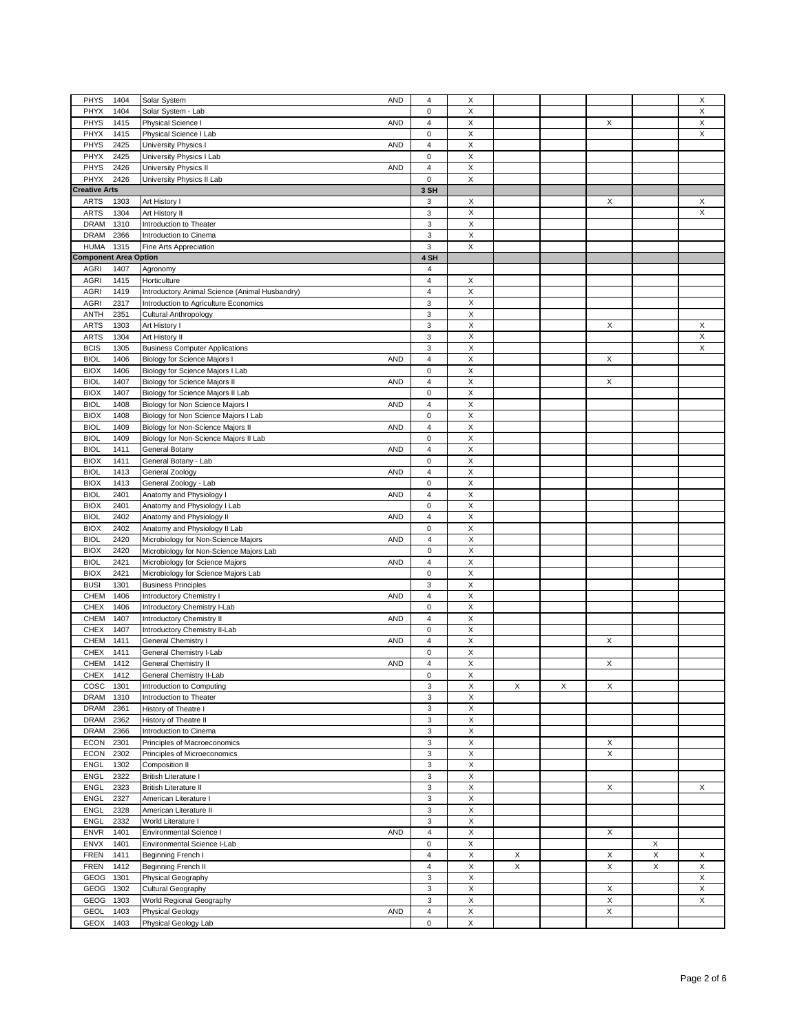|                              |                                                   |                |                           |   |   |   |   | X |
|------------------------------|---------------------------------------------------|----------------|---------------------------|---|---|---|---|---|
| PHYS<br>1404                 | Solar System<br><b>AND</b>                        | 4              | X                         |   |   |   |   |   |
| <b>PHYX</b><br>1404          | Solar System - Lab                                | $\mathbf 0$    | X                         |   |   |   |   | X |
| PHYS<br>1415                 | Physical Science I<br><b>AND</b>                  | $\overline{4}$ | X                         |   |   | X |   | X |
| PHYX<br>1415                 | Physical Science I Lab                            | $\pmb{0}$      | X                         |   |   |   |   | X |
| PHYS<br>2425                 | University Physics I<br><b>AND</b>                | $\overline{4}$ | X                         |   |   |   |   |   |
| PHYX<br>2425                 |                                                   | 0              | X                         |   |   |   |   |   |
|                              | University Physics I Lab                          |                |                           |   |   |   |   |   |
| PHYS<br>2426                 | University Physics II<br><b>AND</b>               | 4              | X                         |   |   |   |   |   |
| PHYX<br>2426                 | University Physics II Lab                         | $\mathbf 0$    | X                         |   |   |   |   |   |
| <b>Creative Arts</b>         |                                                   | 3 SH           |                           |   |   |   |   |   |
| <b>ARTS</b><br>1303          | Art History I                                     | 3              | $\boldsymbol{\mathsf{X}}$ |   |   | Х |   | Х |
| <b>ARTS</b><br>1304          | Art History II                                    | $\mathbf 3$    | X                         |   |   |   |   | X |
|                              | Introduction to Theater                           |                | $\boldsymbol{\mathsf{X}}$ |   |   |   |   |   |
| <b>DRAM</b><br>1310          |                                                   | 3              |                           |   |   |   |   |   |
| <b>DRAM</b><br>2366          | Introduction to Cinema                            | 3              | $\boldsymbol{\mathsf{X}}$ |   |   |   |   |   |
| <b>HUMA</b><br>1315          | Fine Arts Appreciation                            | 3              | X                         |   |   |   |   |   |
| <b>Component Area Option</b> |                                                   | 4 SH           |                           |   |   |   |   |   |
| <b>AGRI</b><br>1407          | Agronomy                                          | 4              |                           |   |   |   |   |   |
| <b>AGRI</b>                  | Horticulture                                      | 4              | X                         |   |   |   |   |   |
| 1415                         |                                                   |                |                           |   |   |   |   |   |
| <b>AGRI</b><br>1419          | Introductory Animal Science (Animal Husbandry)    | $\overline{4}$ | $\mathsf X$               |   |   |   |   |   |
| <b>AGRI</b><br>2317          | Introduction to Agriculture Economics             | 3              | X                         |   |   |   |   |   |
| <b>ANTH</b><br>2351          | Cultural Anthropology                             | $\mathsf 3$    | $\boldsymbol{\mathsf{X}}$ |   |   |   |   |   |
| <b>ARTS</b><br>1303          | Art History I                                     | 3              | X                         |   |   | Х |   | Х |
| <b>ARTS</b><br>1304          | Art History II                                    | 3              | $\mathsf X$               |   |   |   |   | X |
|                              |                                                   |                |                           |   |   |   |   |   |
| <b>BCIS</b><br>1305          | <b>Business Computer Applications</b>             | 3              | X                         |   |   |   |   | X |
| <b>BIOL</b><br>1406          | Biology for Science Majors I<br><b>AND</b>        | 4              | Χ                         |   |   | Χ |   |   |
| <b>BIOX</b><br>1406          | Biology for Science Majors I Lab                  | $\pmb{0}$      | X                         |   |   |   |   |   |
| <b>BIOL</b><br>1407          | Biology for Science Majors II<br><b>AND</b>       | 4              | X                         |   |   | X |   |   |
| <b>BIOX</b><br>1407          | Biology for Science Majors II Lab                 | 0              | X                         |   |   |   |   |   |
|                              |                                                   | 4              | X                         |   |   |   |   |   |
| <b>BIOL</b><br>1408          | Biology for Non Science Majors I<br><b>AND</b>    |                |                           |   |   |   |   |   |
| <b>BIOX</b><br>1408          | Biology for Non Science Majors I Lab              | $\pmb{0}$      | X                         |   |   |   |   |   |
| <b>BIOL</b><br>1409          | Biology for Non-Science Majors II<br><b>AND</b>   | 4              | $\boldsymbol{\mathsf{X}}$ |   |   |   |   |   |
| <b>BIOL</b><br>1409          | Biology for Non-Science Majors II Lab             | 0              | X                         |   |   |   |   |   |
| 1411<br><b>BIOL</b>          | General Botany<br><b>AND</b>                      | 4              | X                         |   |   |   |   |   |
| <b>BIOX</b><br>1411          | General Botany - Lab                              | 0              | X                         |   |   |   |   |   |
|                              |                                                   |                |                           |   |   |   |   |   |
| <b>BIOL</b><br>1413          | General Zoology<br><b>AND</b>                     | 4              | X                         |   |   |   |   |   |
| <b>BIOX</b><br>1413          | General Zoology - Lab                             | 0              | $\boldsymbol{\mathsf{X}}$ |   |   |   |   |   |
| <b>BIOL</b><br>2401          | Anatomy and Physiology I<br><b>AND</b>            | 4              | X                         |   |   |   |   |   |
| <b>BIOX</b><br>2401          | Anatomy and Physiology I Lab                      | $\pmb{0}$      | X                         |   |   |   |   |   |
| <b>BIOL</b><br>2402          | Anatomy and Physiology II<br><b>AND</b>           | 4              | X                         |   |   |   |   |   |
|                              |                                                   | $\mathbf 0$    | $\mathsf X$               |   |   |   |   |   |
| <b>BIOX</b><br>2402          | Anatomy and Physiology II Lab                     |                |                           |   |   |   |   |   |
| <b>BIOL</b><br>2420          | <b>AND</b><br>Microbiology for Non-Science Majors | 4              | X                         |   |   |   |   |   |
| <b>BIOX</b><br>2420          | Microbiology for Non-Science Majors Lab           | 0              | $\boldsymbol{\mathsf{X}}$ |   |   |   |   |   |
| <b>BIOL</b><br>2421          | Microbiology for Science Majors<br><b>AND</b>     | 4              | $\boldsymbol{\mathsf{X}}$ |   |   |   |   |   |
| 2421<br><b>BIOX</b>          | Microbiology for Science Majors Lab               | 0              | X                         |   |   |   |   |   |
| <b>BUSI</b><br>1301          | <b>Business Principles</b>                        | 3              | X                         |   |   |   |   |   |
|                              |                                                   |                |                           |   |   |   |   |   |
| <b>CHEM</b><br>1406          | Introductory Chemistry I<br><b>AND</b>            | 4              | X                         |   |   |   |   |   |
| <b>CHEX</b><br>1406          | Introductory Chemistry I-Lab                      | $\mathbf 0$    | X                         |   |   |   |   |   |
| CHEM<br>1407                 | <b>AND</b><br>Introductory Chemistry II           | 4              | X                         |   |   |   |   |   |
| <b>CHEX</b><br>1407          | Introductory Chemistry II-Lab                     | 0              | X                         |   |   |   |   |   |
| CHEM<br>1411                 | General Chemistry I<br><b>AND</b>                 | 4              | X                         |   |   | Χ |   |   |
|                              |                                                   |                |                           |   |   |   |   |   |
| <b>CHEX</b><br>1411          | General Chemistry I-Lab                           | 0              | X                         |   |   |   |   |   |
| CHEM<br>1412                 | General Chemistry II<br><b>AND</b>                | 4              | $\mathsf X$               |   |   | X |   |   |
| <b>CHEX</b><br>1412          | General Chemistry II-Lab                          | $\Omega$       | X                         |   |   |   |   |   |
| COSC<br>1301                 | Introduction to Computing                         | 3              | X                         | Χ | X | Х |   |   |
| DRAM<br>1310                 | Introduction to Theater                           | 3              | X                         |   |   |   |   |   |
| 2361<br>DRAM                 | History of Theatre I                              | 3              | X                         |   |   |   |   |   |
|                              |                                                   |                | $\mathsf X$               |   |   |   |   |   |
| <b>DRAM</b><br>2362          | History of Theatre II                             | 3              |                           |   |   |   |   |   |
| <b>DRAM</b><br>2366          | Introduction to Cinema                            | 3              | X                         |   |   |   |   |   |
| <b>ECON</b><br>2301          | Principles of Macroeconomics                      | 3              | X                         |   |   | X |   |   |
| <b>ECON</b><br>2302          | Principles of Microeconomics                      | 3              | X                         |   |   | X |   |   |
| <b>ENGL</b><br>1302          | Composition II                                    | 3              | X                         |   |   |   |   |   |
| <b>ENGL</b><br>2322          | <b>British Literature I</b>                       | 3              | X                         |   |   |   |   |   |
|                              |                                                   |                |                           |   |   |   |   |   |
| <b>ENGL</b><br>2323          | British Literature II                             | 3              | X                         |   |   | X |   | X |
| <b>ENGL</b><br>2327          | American Literature I                             | 3              | X                         |   |   |   |   |   |
| <b>ENGL</b><br>2328          | American Literature II                            | 3              | X                         |   |   |   |   |   |
| <b>ENGL</b><br>2332          | World Literature I                                | 3              | X                         |   |   |   |   |   |
| <b>ENVR</b><br>1401          | Environmental Science I<br><b>AND</b>             | 4              | X                         |   |   | Х |   |   |
| <b>ENVX</b><br>1401          |                                                   | 0              | X                         |   |   |   |   |   |
|                              | Environmental Science I-Lab                       |                |                           |   |   |   | X |   |
| <b>FREN</b><br>1411          | Beginning French I                                | 4              | X                         | X |   | X | X | X |
| FREN<br>1412                 | Beginning French II                               | $\overline{4}$ | X                         | X |   | X | X | X |
| GEOG<br>1301                 | Physical Geography                                | 3              | X                         |   |   |   |   | X |
| GEOG<br>1302                 | Cultural Geography                                | 3              | X                         |   |   | X |   | X |
| GEOG<br>1303                 | World Regional Geography                          | 3              | X                         |   |   | X |   | X |
| <b>GEOL</b><br>1403          | <b>AND</b><br>Physical Geology                    | 4              | X                         |   |   | X |   |   |
|                              |                                                   |                |                           |   |   |   |   |   |
| GEOX<br>1403                 | Physical Geology Lab                              | 0              | X                         |   |   |   |   |   |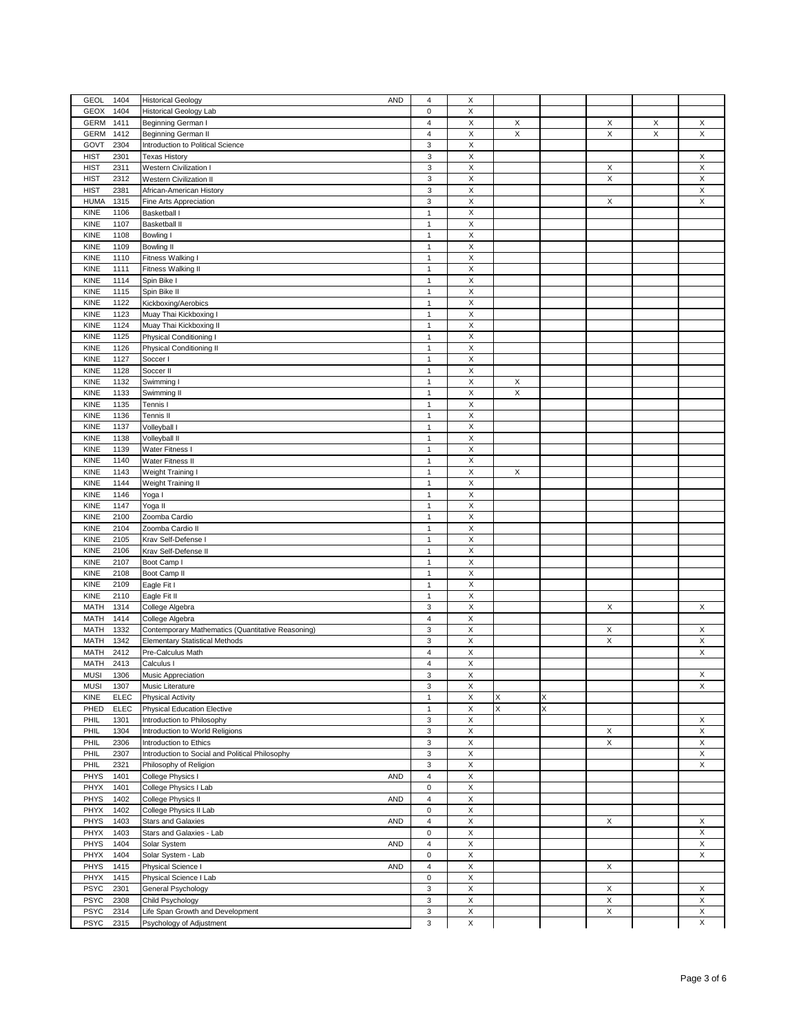| GEOL<br>1404               | <b>Historical Geology</b><br><b>AND</b>           | 4                       | X           |             |   |   |   |             |
|----------------------------|---------------------------------------------------|-------------------------|-------------|-------------|---|---|---|-------------|
| GEOX<br>1404               | <b>Historical Geology Lab</b>                     | $\mathbf 0$             | X           |             |   |   |   |             |
| <b>GERM</b><br>1411        | Beginning German I                                | $\overline{\mathbf{4}}$ | X           | Х           |   | Х | X | Х           |
| <b>GERM</b><br>1412        | Beginning German II                               | 4                       | X           | X           |   | X | X | X           |
| GOVT<br>2304               | Introduction to Political Science                 | 3                       | X           |             |   |   |   |             |
| <b>HIST</b><br>2301        | <b>Texas History</b>                              | 3                       | X           |             |   |   |   | X           |
| <b>HIST</b><br>2311        | Western Civilization I                            | 3                       | X           |             |   | X |   | X           |
| <b>HIST</b><br>2312        | Western Civilization II                           | 3                       | X           |             |   | X |   | X           |
| <b>HIST</b><br>2381        | African-American History                          | 3                       | X           |             |   |   |   | X           |
| <b>HUMA</b><br>1315        | Fine Arts Appreciation                            | 3                       | X           |             |   | X |   | X           |
| 1106                       | Basketball I                                      | $\mathbf{1}$            | $\mathsf X$ |             |   |   |   |             |
| KINE                       |                                                   |                         |             |             |   |   |   |             |
| KINE<br>1107               | <b>Basketball II</b>                              | $\mathbf{1}$            | X           |             |   |   |   |             |
| KINE<br>1108               | Bowling I                                         | $\mathbf{1}$            | X           |             |   |   |   |             |
| KINE<br>1109               | <b>Bowling II</b>                                 | $\mathbf{1}$            | X           |             |   |   |   |             |
| KINE<br>1110               | Fitness Walking I                                 | $\mathbf{1}$            | X           |             |   |   |   |             |
| KINE<br>1111               | Fitness Walking II                                | $\mathbf{1}$            | Χ           |             |   |   |   |             |
| KINE<br>1114               | Spin Bike I                                       | $\mathbf{1}$            | X           |             |   |   |   |             |
| KINE<br>1115               | Spin Bike II                                      | $\mathbf{1}$            | $\mathsf X$ |             |   |   |   |             |
| KINE<br>1122               | Kickboxing/Aerobics                               | $\mathbf{1}$            | X           |             |   |   |   |             |
| KINE<br>1123               | Muay Thai Kickboxing I                            | $\mathbf{1}$            | X           |             |   |   |   |             |
| KINE<br>1124               | Muay Thai Kickboxing II                           | $\mathbf{1}$            | X           |             |   |   |   |             |
| KINE<br>1125               | Physical Conditioning I                           | $\mathbf{1}$            | X           |             |   |   |   |             |
| KINE<br>1126               | Physical Conditioning II                          | $\mathbf{1}$            | X           |             |   |   |   |             |
| KINE<br>1127               | Soccer I                                          | $\mathbf{1}$            | X           |             |   |   |   |             |
| KINE<br>1128               | Soccer II                                         | $\mathbf{1}$            | Χ           |             |   |   |   |             |
| KINE<br>1132               | Swimming I                                        | $\mathbf{1}$            | X           | X           |   |   |   |             |
| KINE<br>1133               | Swimming II                                       | $\mathbf{1}$            | $\mathsf X$ | $\mathsf X$ |   |   |   |             |
| KINE<br>1135               | Tennis I                                          | $\mathbf{1}$            | X           |             |   |   |   |             |
|                            |                                                   |                         |             |             |   |   |   |             |
| KINE<br>1136               | Tennis II                                         | $\mathbf{1}$            | X           |             |   |   |   |             |
| KINE<br>1137               | Volleyball I                                      | $\mathbf{1}$            | X           |             |   |   |   |             |
| KINE<br>1138               | Volleyball II                                     | $\mathbf{1}$            | X           |             |   |   |   |             |
| KINE<br>1139               | Water Fitness I                                   | $\mathbf{1}$            | X           |             |   |   |   |             |
| KINE<br>1140               | Water Fitness II                                  | $\mathbf{1}$            | X           |             |   |   |   |             |
| KINE<br>1143               | Weight Training I                                 | $\mathbf{1}$            | X           | X           |   |   |   |             |
| KINE<br>1144               | Weight Training II                                | $\mathbf{1}$            | X           |             |   |   |   |             |
| KINE<br>1146               | Yoga I                                            | $\mathbf{1}$            | $\mathsf X$ |             |   |   |   |             |
| KINE<br>1147               | Yoga II                                           | $\mathbf{1}$            | X           |             |   |   |   |             |
| KINE<br>2100               | Zoomba Cardio                                     | $\mathbf{1}$            | X           |             |   |   |   |             |
| KINE<br>2104               | Zoomba Cardio II                                  | $\mathbf{1}$            | X           |             |   |   |   |             |
| KINE<br>2105               | Krav Self-Defense I                               | $\mathbf{1}$            | X           |             |   |   |   |             |
| KINE<br>2106               | Krav Self-Defense II                              | $\mathbf{1}$            | Χ           |             |   |   |   |             |
| KINE<br>2107               | Boot Camp I                                       | $\mathbf{1}$            | X           |             |   |   |   |             |
| KINE<br>2108               | Boot Camp II                                      | $\mathbf{1}$            | $\mathsf X$ |             |   |   |   |             |
| KINE<br>2109               | Eagle Fit I                                       | $\mathbf{1}$            | X           |             |   |   |   |             |
| KINE<br>2110               |                                                   | $\mathbf{1}$            | $\mathsf X$ |             |   |   |   |             |
|                            | Eagle Fit II                                      |                         |             |             |   |   |   |             |
| <b>MATH</b><br>1314        | College Algebra                                   | 3                       | X           |             |   | Χ |   | X           |
| MATH<br>1414               | College Algebra                                   | 4                       | X           |             |   |   |   |             |
| MATH<br>1332               | Contemporary Mathematics (Quantitative Reasoning) | 3                       | X           |             |   | Х |   | Х           |
| MATH<br>1342               | <b>Elementary Statistical Methods</b>             | 3                       | X           |             |   | X |   | X           |
| MATH<br>2412               | Pre-Calculus Math                                 | 4                       | X           |             |   |   |   | X           |
| <b>MATH</b><br>2413        | Calculus I                                        | 4                       | X           |             |   |   |   |             |
| <b>MUSI</b><br>1306        | Music Appreciation                                | 3                       | Χ           |             |   |   |   | X           |
| <b>MUSI</b><br>1307        | Music Literature                                  | 3                       | X           |             |   |   |   | X           |
| <b>KINE</b><br><b>ELEC</b> | Physical Activity                                 | $\mathbf{1}$            | X           | X           | X |   |   |             |
| PHED<br><b>ELEC</b>        | <b>Physical Education Elective</b>                | $\mathbf{1}$            | X           | Χ           | X |   |   |             |
| PHIL<br>1301               | Introduction to Philosophy                        | 3                       | X           |             |   |   |   | X           |
| PHIL<br>1304               | Introduction to World Religions                   | 3                       | X           |             |   | X |   | X           |
| PHIL<br>2306               | Introduction to Ethics                            | 3                       | X           |             |   | Χ |   | X           |
| 2307<br>PHIL               | Introduction to Social and Political Philosophy   | 3                       | X           |             |   |   |   | X           |
| PHIL<br>2321               | Philosophy of Religion                            | 3                       | X           |             |   |   |   | X           |
| PHYS<br>1401               | College Physics I<br><b>AND</b>                   | 4                       | $\mathsf X$ |             |   |   |   |             |
|                            |                                                   | $\bf{0}$                |             |             |   |   |   |             |
| PHYX<br>1401               | College Physics I Lab                             |                         | X           |             |   |   |   |             |
| PHYS<br>1402               | College Physics II<br><b>AND</b>                  | 4                       | X           |             |   |   |   |             |
| PHYX<br>1402               | College Physics II Lab                            | 0                       | X           |             |   |   |   |             |
| PHYS<br>1403               | <b>Stars and Galaxies</b><br><b>AND</b>           | 4                       | X           |             |   | X |   | X           |
| PHYX<br>1403               | Stars and Galaxies - Lab                          | 0                       | X           |             |   |   |   | X           |
| PHYS<br>1404               | Solar System<br><b>AND</b>                        | 4                       | X           |             |   |   |   | X           |
| PHYX<br>1404               | Solar System - Lab                                | $\pmb{0}$               | X           |             |   |   |   | X           |
| PHYS<br>1415               | Physical Science I<br><b>AND</b>                  | 4                       | X           |             |   | X |   |             |
| PHYX<br>1415               | Physical Science I Lab                            | $\mathbf 0$             | X           |             |   |   |   |             |
| <b>PSYC</b><br>2301        | General Psychology                                | 3                       | X           |             |   | X |   | Х           |
| <b>PSYC</b><br>2308        | Child Psychology                                  | 3                       | X           |             |   | X |   | X           |
| <b>PSYC</b><br>2314        | Life Span Growth and Development                  | 3                       | X           |             |   | X |   | X           |
| <b>PSYC</b><br>2315        | Psychology of Adjustment                          | 3                       | $\mathsf X$ |             |   |   |   | $\mathsf X$ |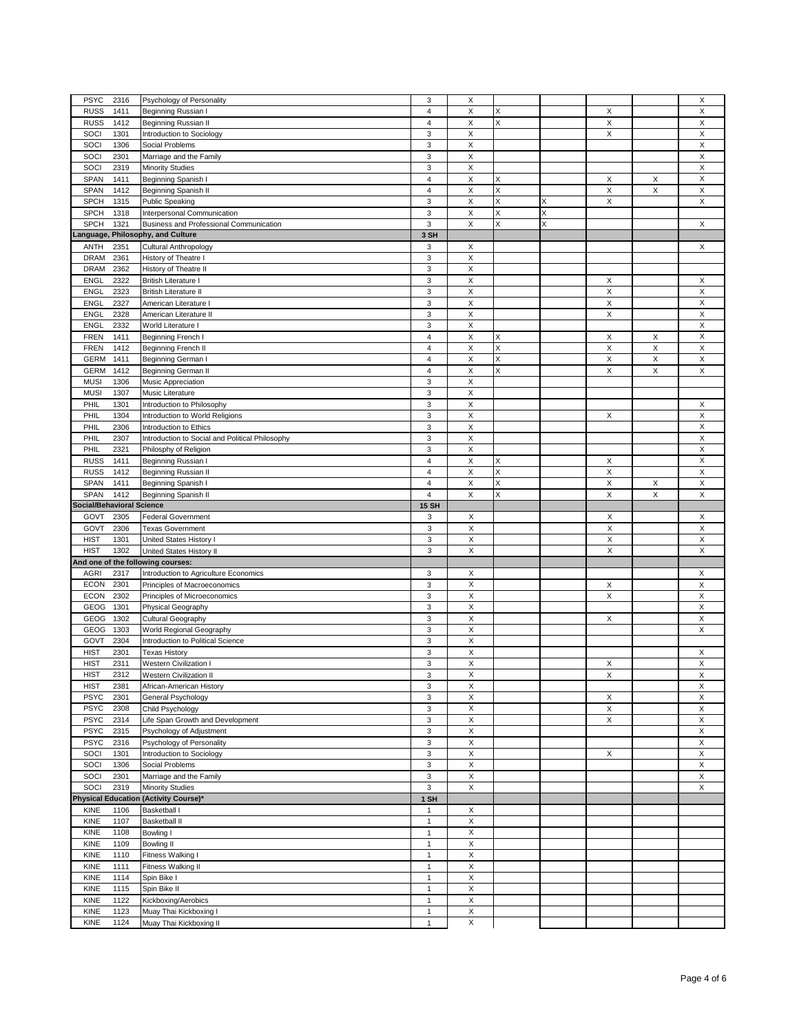| <b>PSYC</b>                      | Psychology of Personality                         | 3                       | X                              |   |   |   |   | X           |
|----------------------------------|---------------------------------------------------|-------------------------|--------------------------------|---|---|---|---|-------------|
| 2316<br><b>RUSS</b><br>1411      | Beginning Russian I                               | 4                       | Х                              | X |   | Χ |   | X           |
|                                  |                                                   |                         |                                |   |   |   |   |             |
| <b>RUSS</b><br>1412              | Beginning Russian II                              | 4                       | X                              | X |   | X |   | X           |
| SOCI<br>1301                     | Introduction to Sociology                         | 3                       | X                              |   |   | X |   | X           |
| SOCI<br>1306                     | Social Problems                                   | 3                       | X                              |   |   |   |   | X           |
| SOCI<br>2301                     | Marriage and the Family                           | 3                       | $\mathsf X$                    |   |   |   |   | X           |
| SOCI<br>2319                     | <b>Minority Studies</b>                           | 3                       | X                              |   |   |   |   | X           |
| SPAN<br>1411                     | Beginning Spanish I                               | 4                       | X                              | Χ |   | X | X | X           |
| <b>SPAN</b><br>1412              |                                                   | $\overline{\mathbf{4}}$ | X                              | X |   | X | X | $\mathsf X$ |
|                                  | Beginning Spanish II                              |                         |                                |   |   |   |   |             |
| <b>SPCH</b><br>1315              | <b>Public Speaking</b>                            | 3                       | $\mathsf X$                    | X | X | X |   | X           |
| <b>SPCH</b><br>1318              | Interpersonal Communication                       | 3                       | X                              | X | X |   |   |             |
| <b>SPCH</b><br>1321              | Business and Professional Communication           | 3                       | X                              | X | X |   |   | X           |
| Language,                        | <b>Philosophy, and Culture</b>                    | 3 SH                    |                                |   |   |   |   |             |
| <b>ANTH</b><br>2351              | Cultural Anthropology                             | 3                       | Х                              |   |   |   |   | X           |
| <b>DRAM</b>                      |                                                   | 3                       | X                              |   |   |   |   |             |
| 2361                             | History of Theatre I                              |                         |                                |   |   |   |   |             |
| <b>DRAM</b><br>2362              | History of Theatre II                             | 3                       | X                              |   |   |   |   |             |
| <b>ENGL</b><br>2322              | <b>British Literature I</b>                       | 3                       | X                              |   |   | Х |   | X           |
| 2323<br><b>ENGL</b>              | <b>British Literature II</b>                      | 3                       | X                              |   |   | X |   | X           |
| <b>ENGL</b><br>2327              | American Literature I                             | 3                       | Х                              |   |   | Х |   | X           |
| <b>ENGL</b><br>2328              | American Literature II                            | 3                       | X                              |   |   | X |   | X           |
|                                  |                                                   |                         |                                |   |   |   |   |             |
| 2332<br><b>ENGL</b>              | World Literature I                                | 3                       | X                              |   |   |   |   | X           |
| <b>FREN</b><br>1411              | Beginning French I                                | 4                       | $\mathsf X$                    | Χ |   | X | X | X           |
| <b>FREN</b><br>1412              | Beginning French II                               | $\overline{4}$          | X                              | X |   | X | X | Χ           |
| <b>GERM</b><br>1411              | Beginning German I                                | 4                       | X                              | X |   | X | X | Χ           |
| <b>GERM</b><br>1412              | Beginning German II                               | $\overline{4}$          | X                              | X |   | X | X | X           |
|                                  |                                                   |                         |                                |   |   |   |   |             |
| <b>MUSI</b><br>1306              | Music Appreciation                                | 3                       | X                              |   |   |   |   |             |
| <b>MUSI</b><br>1307              | Music Literature                                  | 3                       | X                              |   |   |   |   |             |
| PHIL<br>1301                     | Introduction to Philosophy                        | 3                       | X                              |   |   |   |   | X           |
| PHIL<br>1304                     | Introduction to World Religions                   | $\mathbf 3$             | X                              |   |   | X |   | X           |
| PHIL<br>2306                     | Introduction to Ethics                            | 3                       | X                              |   |   |   |   | X           |
| PHIL<br>2307                     |                                                   | 3                       | $\mathsf X$                    |   |   |   |   | X           |
|                                  | Introduction to Social and Political Philosophy   |                         |                                |   |   |   |   |             |
| 2321<br>PHIL                     | Philosphy of Religion                             | 3                       | X                              |   |   |   |   | X           |
| <b>RUSS</b><br>1411              | Beginning Russian I                               | 4                       | X                              | Χ |   | X |   | Χ           |
| <b>RUSS</b><br>1412              | Beginning Russian II                              | 4                       | X                              | Χ |   | X |   | X           |
| <b>SPAN</b><br>1411              | Beginning Spanish I                               | $\overline{4}$          | X                              | Χ |   | X | X | X           |
| <b>SPAN</b><br>1412              | Beginning Spanish II                              | $\overline{4}$          | X                              | X |   | X | X | X           |
|                                  |                                                   |                         |                                |   |   |   |   |             |
| <b>Social/Behavioral Science</b> |                                                   | <b>15 SH</b>            |                                |   |   |   |   |             |
|                                  |                                                   |                         |                                |   |   |   |   |             |
| GOVT<br>2305                     | <b>Federal Government</b>                         | 3                       | X                              |   |   | X |   | X           |
| GOVT<br>2306                     | <b>Texas Government</b>                           | 3                       | $\boldsymbol{\mathsf{X}}$      |   |   | X |   | X           |
| <b>HIST</b><br>1301              |                                                   | 3                       | $\boldsymbol{\mathsf{X}}$      |   |   | X |   | X           |
|                                  | United States History I                           |                         |                                |   |   |   |   |             |
| <b>HIST</b><br>1302              | United States History II                          | 3                       | X                              |   |   | X |   | X           |
|                                  | And one of the following courses:                 |                         |                                |   |   |   |   |             |
| <b>AGRI</b><br>2317              | Introduction to Agriculture Economics             | 3                       | Х                              |   |   |   |   | X           |
| <b>ECON</b><br>2301              | Principles of Macroeconomics                      | 3                       | $\mathsf X$                    |   |   | X |   | X           |
| <b>ECON</b><br>2302              | Principles of Microeconomics                      | 3                       | X                              |   |   | X |   | X           |
| GEOG<br>1301                     | Physical Geography                                | 3                       | $\boldsymbol{\mathsf{X}}$      |   |   |   |   | $\mathsf X$ |
|                                  |                                                   |                         |                                |   |   |   |   |             |
| GEOG<br>1302                     | Cultural Geography                                | 3                       | X                              |   |   | X |   | X           |
| GEOG<br>1303                     | World Regional Geography                          | 3                       | $\boldsymbol{\mathsf{X}}$      |   |   |   |   | X           |
| GOVT<br>2304                     | Introduction to Political Science                 | 3                       | $\boldsymbol{\mathsf{X}}$      |   |   |   |   |             |
| <b>HIST</b><br>2301              | <b>Texas History</b>                              | 3                       | $\boldsymbol{\mathsf{X}}$      |   |   |   |   | X           |
| <b>HIST</b><br>2311              | Western Civilization I                            | 3                       | $\boldsymbol{\mathsf{X}}$      |   |   | Х |   | X           |
| HIST<br>2312                     | Western Civilization II                           | 3                       | X                              |   |   | X |   | X           |
|                                  |                                                   |                         |                                |   |   |   |   |             |
| <b>HIST</b><br>2381              | African-American History                          | 3                       | X                              |   |   |   |   | X           |
| <b>PSYC</b><br>2301              | General Psychology                                | 3                       | $\boldsymbol{\mathsf{X}}$      |   |   | X |   | Χ           |
| <b>PSYC</b><br>2308              | Child Psychology                                  | 3                       | X                              |   |   | X |   | X           |
| <b>PSYC</b><br>2314              | Life Span Growth and Development                  | 3                       | $\mathsf X$                    |   |   | X |   | X           |
| <b>PSYC</b><br>2315              | Psychology of Adjustment                          | 3                       | $\boldsymbol{\mathsf{X}}$      |   |   |   |   | Χ           |
|                                  |                                                   |                         |                                |   |   |   |   |             |
| <b>PSYC</b><br>2316              | Psychology of Personality                         | 3                       | $\mathsf X$                    |   |   |   |   | X           |
| SOCI<br>1301                     | Introduction to Sociology                         | 3                       | $\boldsymbol{\mathsf{X}}$      |   |   | X |   | X           |
| SOCI<br>1306                     | Social Problems                                   | 3                       | X                              |   |   |   |   | X           |
| SOCI<br>2301                     | Marriage and the Family                           | $\mathbf 3$             | X                              |   |   |   |   | X           |
| SOCI<br>2319                     | <b>Minority Studies</b>                           | 3                       | $\boldsymbol{\mathsf{X}}$      |   |   |   |   | X           |
|                                  |                                                   |                         |                                |   |   |   |   |             |
|                                  | Physical Education (Activity Course)*             | 1 SH                    |                                |   |   |   |   |             |
| <b>KINE</b><br>1106              | Basketball I                                      | 1                       | X                              |   |   |   |   |             |
| 1107<br>KINE                     | <b>Basketball II</b>                              | $\mathbf{1}$            | $\mathsf X$                    |   |   |   |   |             |
| <b>KINE</b><br>1108              | Bowling I                                         | $\mathbf{1}$            | $\boldsymbol{\mathsf{X}}$      |   |   |   |   |             |
| <b>KINE</b><br>1109              | Bowling II                                        | $\mathbf{1}$            | $\mathsf X$                    |   |   |   |   |             |
|                                  |                                                   | $\mathbf{1}$            |                                |   |   |   |   |             |
| KINE<br>1110                     | Fitness Walking I                                 |                         | $\boldsymbol{\mathsf{X}}$      |   |   |   |   |             |
| KINE<br>1111                     | Fitness Walking II                                | $\mathbf{1}$            | $\mathsf X$                    |   |   |   |   |             |
| KINE<br>1114                     | Spin Bike I                                       | $\mathbf{1}$            | X                              |   |   |   |   |             |
| <b>KINE</b><br>1115              | Spin Bike II                                      | $\mathbf{1}$            | $\mathsf X$                    |   |   |   |   |             |
| KINE<br>1122                     | Kickboxing/Aerobics                               | $\mathbf{1}$            | $\boldsymbol{\mathsf{X}}$      |   |   |   |   |             |
|                                  |                                                   |                         |                                |   |   |   |   |             |
| KINE<br>1123<br>KINE<br>1124     | Muay Thai Kickboxing I<br>Muay Thai Kickboxing II | 1<br>$\mathbf{1}$       | X<br>$\boldsymbol{\mathsf{X}}$ |   |   |   |   |             |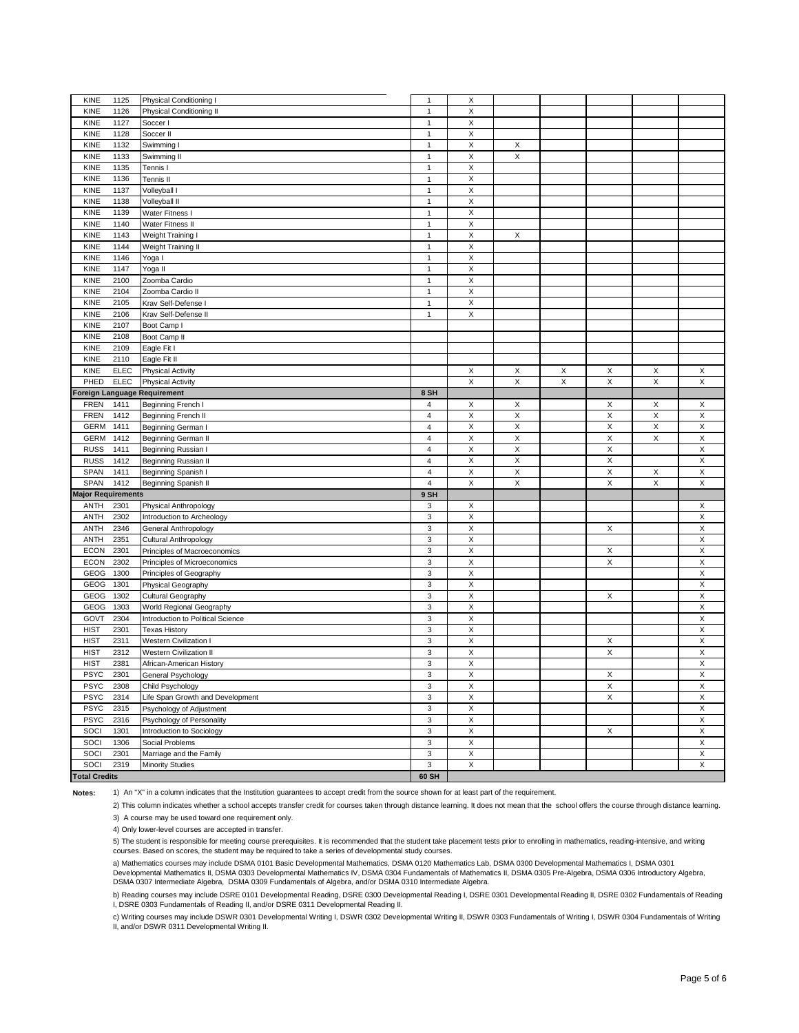| KINE<br>1125                 | Physical Conditioning I           | $\mathbf{1}$            | X           |             |   |             |             |             |
|------------------------------|-----------------------------------|-------------------------|-------------|-------------|---|-------------|-------------|-------------|
| <b>KINE</b><br>1126          | Physical Conditioning II          | $\mathbf{1}$            | X           |             |   |             |             |             |
| KINE<br>1127                 | Soccer I                          | $\mathbf{1}$            | X           |             |   |             |             |             |
| KINE<br>1128                 | Soccer II                         | $\mathbf{1}$            | X           |             |   |             |             |             |
| <b>KINE</b><br>1132          | Swimming I                        | $\mathbf{1}$            | X           | X           |   |             |             |             |
| KINE<br>1133                 | Swimming II                       | $\mathbf{1}$            | X           | X           |   |             |             |             |
| KINE<br>1135                 | Tennis I                          | $\mathbf{1}$            | X           |             |   |             |             |             |
| KINE<br>1136                 | Tennis II                         | $\mathbf{1}$            | X           |             |   |             |             |             |
|                              |                                   | $\mathbf{1}$            | X           |             |   |             |             |             |
| KINE<br>1137                 | Volleyball I                      |                         |             |             |   |             |             |             |
| KINE<br>1138                 | Volleyball II                     | $\mathbf{1}$            | X           |             |   |             |             |             |
| KINE<br>1139                 | Water Fitness I                   | $\mathbf{1}$            | $\mathsf X$ |             |   |             |             |             |
| KINE<br>1140                 | Water Fitness II                  | $\mathbf{1}$            | X           |             |   |             |             |             |
| <b>KINE</b><br>1143          | Weight Training I                 | $\mathbf{1}$            | X           | X           |   |             |             |             |
| KINE<br>1144                 | Weight Training II                | $\mathbf{1}$            | X           |             |   |             |             |             |
| KINE<br>1146                 | Yoga I                            | $\mathbf{1}$            | X           |             |   |             |             |             |
| KINE<br>1147                 | Yoga II                           | $\mathbf{1}$            | X           |             |   |             |             |             |
| KINE<br>2100                 | Zoomba Cardio                     | $\mathbf{1}$            | X           |             |   |             |             |             |
| KINE<br>2104                 | Zoomba Cardio II                  | $\mathbf{1}$            | X           |             |   |             |             |             |
| KINE<br>2105                 | Krav Self-Defense I               | $\mathbf{1}$            | X           |             |   |             |             |             |
|                              |                                   |                         | $\mathsf X$ |             |   |             |             |             |
| KINE<br>2106                 | Krav Self-Defense II              | $\mathbf{1}$            |             |             |   |             |             |             |
| KINE<br>2107                 | Boot Camp I                       |                         |             |             |   |             |             |             |
| KINE<br>2108                 | Boot Camp II                      |                         |             |             |   |             |             |             |
| KINE<br>2109                 | Eagle Fit I                       |                         |             |             |   |             |             |             |
| KINE<br>2110                 | Eagle Fit II                      |                         |             |             |   |             |             |             |
| <b>KINE</b><br><b>ELEC</b>   | Physical Activity                 |                         | X           | X           | X | Х           | X           | Х           |
| PHED<br><b>ELEC</b>          | <b>Physical Activity</b>          |                         | X           | X           | X | X           | X           | X           |
| Foreign Language Requirement |                                   | 8 SH                    |             |             |   |             |             |             |
| <b>FREN</b><br>1411          | Beginning French I                | 4                       | X           | X           |   | X           | X           | X           |
| <b>FREN</b><br>1412          | Beginning French II               | $\overline{\mathbf{4}}$ | $\mathsf X$ | X           |   | X           | $\mathsf X$ | $\mathsf X$ |
|                              |                                   |                         | X           |             |   |             |             | X           |
| <b>GERM</b><br>1411          | Beginning German I                | 4                       |             | X           |   | Χ           | X           |             |
| <b>GERM</b><br>1412          | Beginning German II               | 4                       | X           | X           |   | X           | X           | X           |
| <b>RUSS</b><br>1411          | Beginning Russian I               | 4                       | X           | X           |   | Χ           |             | X           |
| <b>RUSS</b><br>1412          | Beginning Russian II              | $\overline{\mathbf{4}}$ | X           | $\mathsf X$ |   | $\mathsf X$ |             | $\mathsf X$ |
| <b>SPAN</b><br>1411          | Beginning Spanish I               | $\overline{\mathbf{4}}$ | Χ           | Χ           |   | X           | X           | X           |
| <b>SPAN</b><br>1412          | Beginning Spanish II              | $\overline{\mathbf{4}}$ | X           | X           |   | X           | $\mathsf X$ | X           |
| <b>Major Requirements</b>    |                                   | 9 SH                    |             |             |   |             |             |             |
| ANTH<br>2301                 | Physical Anthropology             | 3                       | X           |             |   |             |             | Х           |
| 2302<br><b>ANTH</b>          | Introduction to Archeology        | 3                       | X           |             |   |             |             | X           |
| <b>ANTH</b><br>2346          | General Anthropology              | $\mathbf 3$             | X           |             |   | X           |             | X           |
| <b>ANTH</b><br>2351          |                                   | 3                       | X           |             |   |             |             | X           |
|                              | Cultural Anthropology             |                         |             |             |   |             |             |             |
| <b>ECON</b><br>2301          | Principles of Macroeconomics      | 3                       | X           |             |   | X           |             | X           |
| <b>ECON</b><br>2302          | Principles of Microeconomics      | 3                       | X           |             |   | X           |             | X           |
| GEOG<br>1300                 | Principles of Geography           | 3                       | X           |             |   |             |             | X           |
| GEOG<br>1301                 | Physical Geography                | 3                       | X           |             |   |             |             | X           |
| GEOG<br>1302                 | Cultural Geography                | 3                       | $\mathsf X$ |             |   | X           |             | X           |
| GEOG<br>1303                 | World Regional Geography          | 3                       | X           |             |   |             |             | X           |
| GOVT<br>2304                 | Introduction to Political Science | 3                       | X           |             |   |             |             | X           |
| <b>HIST</b><br>2301          | <b>Texas History</b>              | $\mathbf 3$             | X           |             |   |             |             | X           |
| <b>HIST</b><br>2311          | Western Civilization I            | 3                       | X           |             |   | Х           |             | X           |
| <b>HIST</b><br>2312          | Western Civilization II           | 3                       | X           |             |   | X           |             | X           |
|                              |                                   |                         |             |             |   |             |             |             |
| <b>HIST</b><br>2381          | African-American History          | 3                       | X           |             |   |             |             | X           |
| <b>PSYC</b><br>2301          | General Psychology                | 3                       | Χ           |             |   | Χ           |             | Χ           |
| <b>PSYC</b><br>2308          | Child Psychology                  | 3                       | X           |             |   | X           |             | X           |
| <b>PSYC</b><br>2314          | Life Span Growth and Development  | 3                       | X           |             |   | X           |             | X           |
| <b>PSYC</b><br>2315          | Psychology of Adjustment          | 3                       | X           |             |   |             |             | X           |
| <b>PSYC</b><br>2316          | Psychology of Personality         | $\mathbf 3$             | $\mathsf X$ |             |   |             |             | $\mathsf X$ |
| SOCI<br>1301                 | Introduction to Sociology         | 3                       | X           |             |   | X           |             | X           |
| SOCI<br>1306                 | Social Problems                   | 3                       | $\mathsf X$ |             |   |             |             | $\mathsf X$ |
| SOCI<br>2301                 | Marriage and the Family           | 3                       | X           |             |   |             |             | X           |
| SOCI<br>2319                 | <b>Minority Studies</b>           | $\mathsf 3$             | X           |             |   |             |             | X           |
| <b>Total Credits</b>         |                                   | 60 SH                   |             |             |   |             |             |             |
|                              |                                   |                         |             |             |   |             |             |             |

**Notes:**

1) An "X" in a column indicates that the Institution guarantees to accept credit from the source shown for at least part of the requirement.

2) This column indicates whether a school accepts transfer credit for courses taken through distance learning. It does not mean that the school offers the course through distance learning. 3) A course may be used toward one requirement only.

4) Only lower-level courses are accepted in transfer.

5) The student is responsible for meeting course prerequisites. It is recommended that the student take placement tests prior to enrolling in mathematics, reading-intensive, and writing<br>courses. Based on scores, the studen

a) Mathematics courses may include DSMA 0101 Basic Developmental Mathematics, DSMA 0120 Mathematics Lab, DSMA 0300 Developmental Mathematics I, DSMA 0301 Developmental Mathematics II, DSMA 0303 Developmental Mathematics IV, DSMA 0304 Fundamentals of Mathematics II, DSMA 0305 Pre-Algebra, DSMA 0306 Introductory Algebra,<br>DSMA 0307 Intermediate Algebra, DSMA 0309 Fundamentals

b) Reading courses may include DSRE 0101 Developmental Reading, DSRE 0300 Developmental Reading I, DSRE 0301 Developmental Reading II, DSRE 0302 Fundamentals of Reading I, DSRE 0303 Fundamentals of Reading II, and/or DSRE 0311 Developmental Reading II.

c) Writing courses may include DSWR 0301 Developmental Writing I, DSWR 0302 Developmental Writing II, DSWR 0303 Fundamentals of Writing I, DSWR 0304 Fundamentals of Writing II, and/or DSWR 0311 Developmental Writing II.